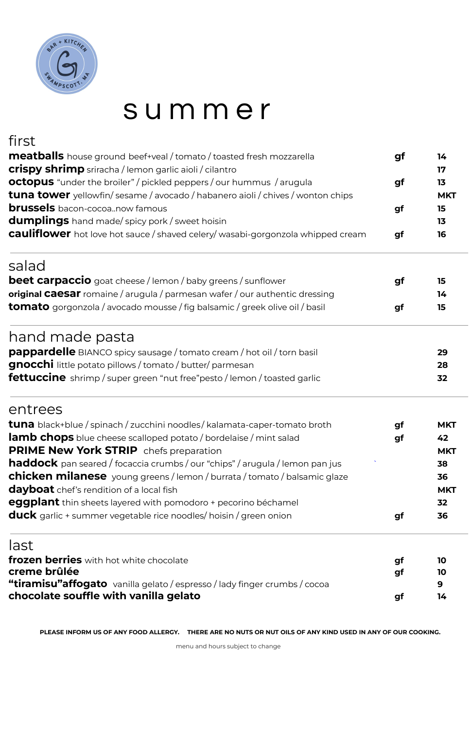

# s u m m e r

# first

| <b>meatballs</b> house ground beef+veal / tomato / toasted fresh mozzarella                                                                                                                                                                                                                                                                                                                                                                                                                                                                                                                                                                                                                                                                                                                                                     | gf | 14         |
|---------------------------------------------------------------------------------------------------------------------------------------------------------------------------------------------------------------------------------------------------------------------------------------------------------------------------------------------------------------------------------------------------------------------------------------------------------------------------------------------------------------------------------------------------------------------------------------------------------------------------------------------------------------------------------------------------------------------------------------------------------------------------------------------------------------------------------|----|------------|
|                                                                                                                                                                                                                                                                                                                                                                                                                                                                                                                                                                                                                                                                                                                                                                                                                                 |    | 17         |
|                                                                                                                                                                                                                                                                                                                                                                                                                                                                                                                                                                                                                                                                                                                                                                                                                                 | gf | 13         |
|                                                                                                                                                                                                                                                                                                                                                                                                                                                                                                                                                                                                                                                                                                                                                                                                                                 |    | <b>MKT</b> |
|                                                                                                                                                                                                                                                                                                                                                                                                                                                                                                                                                                                                                                                                                                                                                                                                                                 | gf | 15         |
|                                                                                                                                                                                                                                                                                                                                                                                                                                                                                                                                                                                                                                                                                                                                                                                                                                 |    | 13         |
| <b>crispy shrimp</b> sriracha / lemon garlic aioli / cilantro<br><b>octopus</b> "under the broiler" / pickled peppers / our hummus / arugula<br><b>tuna tower</b> yellowfin/sesame / avocado / habanero aioli / chives / wonton chips<br><b>brussels</b> bacon-cocoanow famous<br><b>dumplings</b> hand made/spicy pork / sweet hoisin<br><b>cauliflower</b> hot love hot sauce / shaved celery/ wasabi-gorgonzola whipped cream<br>hand made pasta<br>pappardelle BIANCO spicy sausage / tomato cream / hot oil / torn basil<br><b>gnocchi</b> little potato pillows / tomato / butter/ parmesan<br><b>lamb chops</b> blue cheese scalloped potato / bordelaise / mint salad<br>haddock pan seared / focaccia crumbs / our "chips" / arugula / lemon pan jus<br>eggplant thin sheets layered with pomodoro + pecorino béchamel | gf | 16         |
| salad                                                                                                                                                                                                                                                                                                                                                                                                                                                                                                                                                                                                                                                                                                                                                                                                                           |    |            |
| <b>beet carpaccio</b> goat cheese / lemon / baby greens / sunflower                                                                                                                                                                                                                                                                                                                                                                                                                                                                                                                                                                                                                                                                                                                                                             | gf | 15         |
| <b>original Caesar</b> romaine / arugula / parmesan wafer / our authentic dressing                                                                                                                                                                                                                                                                                                                                                                                                                                                                                                                                                                                                                                                                                                                                              |    | 14         |
| <b>tomato</b> gorgonzola / avocado mousse / fig balsamic / greek olive oil / basil                                                                                                                                                                                                                                                                                                                                                                                                                                                                                                                                                                                                                                                                                                                                              | gf | 15         |
|                                                                                                                                                                                                                                                                                                                                                                                                                                                                                                                                                                                                                                                                                                                                                                                                                                 |    |            |
|                                                                                                                                                                                                                                                                                                                                                                                                                                                                                                                                                                                                                                                                                                                                                                                                                                 |    | 29         |
|                                                                                                                                                                                                                                                                                                                                                                                                                                                                                                                                                                                                                                                                                                                                                                                                                                 |    | 28         |
| <b>fettuccine</b> shrimp / super green "nut free"pesto / lemon / toasted garlic                                                                                                                                                                                                                                                                                                                                                                                                                                                                                                                                                                                                                                                                                                                                                 |    | 32         |
| entrees                                                                                                                                                                                                                                                                                                                                                                                                                                                                                                                                                                                                                                                                                                                                                                                                                         |    |            |
| <b>tuna</b> black+blue / spinach / zucchini noodles / kalamata-caper-tomato broth                                                                                                                                                                                                                                                                                                                                                                                                                                                                                                                                                                                                                                                                                                                                               | gf | <b>MKT</b> |
|                                                                                                                                                                                                                                                                                                                                                                                                                                                                                                                                                                                                                                                                                                                                                                                                                                 | gf | 42         |
| <b>PRIME New York STRIP</b> chefs preparation                                                                                                                                                                                                                                                                                                                                                                                                                                                                                                                                                                                                                                                                                                                                                                                   |    | <b>MKT</b> |
|                                                                                                                                                                                                                                                                                                                                                                                                                                                                                                                                                                                                                                                                                                                                                                                                                                 |    | 38         |
| <b>chicken milanese</b> young greens / lemon / burrata / tomato / balsamic glaze                                                                                                                                                                                                                                                                                                                                                                                                                                                                                                                                                                                                                                                                                                                                                |    | 36         |
| <b>dayboat</b> chef's rendition of a local fish                                                                                                                                                                                                                                                                                                                                                                                                                                                                                                                                                                                                                                                                                                                                                                                 |    | <b>MKT</b> |
|                                                                                                                                                                                                                                                                                                                                                                                                                                                                                                                                                                                                                                                                                                                                                                                                                                 |    | 32         |
| <b>duck</b> garlic + summer vegetable rice noodles/ hoisin / green onion                                                                                                                                                                                                                                                                                                                                                                                                                                                                                                                                                                                                                                                                                                                                                        | gf | 36         |

last

**frozen berries** with hot white chocolate **gf 10 creme brûlée gf 10 "tiramisu"affogato** vanilla gelato / espresso / lady finger crumbs / cocoa **9 chocolate souffle with vanilla gelato gf 14**

PLEASE INFORM US OF ANY FOOD ALLERGY. THERE ARE NO NUTS OR NUT OILS OF ANY KIND USED IN ANY OF OUR COOKING.

menu and hours subject to change